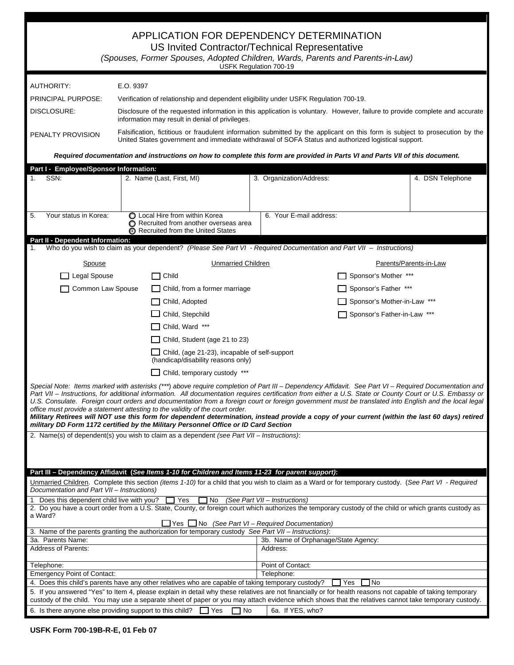| APPLICATION FOR DEPENDENCY DETERMINATION<br>US Invited Contractor/Technical Representative<br>(Spouses, Former Spouses, Adopted Children, Wards, Parents and Parents-in-Law)<br>USFK Regulation 700-19                                                                                                                                                                                                                                                                                                                                                                                                                                                                                                                                                                                                                                                                                              |                                                                                                                                                                                                                                     |                                                                                                                                                                                                                                                                                                                    |                                     |                             |                        |  |  |
|-----------------------------------------------------------------------------------------------------------------------------------------------------------------------------------------------------------------------------------------------------------------------------------------------------------------------------------------------------------------------------------------------------------------------------------------------------------------------------------------------------------------------------------------------------------------------------------------------------------------------------------------------------------------------------------------------------------------------------------------------------------------------------------------------------------------------------------------------------------------------------------------------------|-------------------------------------------------------------------------------------------------------------------------------------------------------------------------------------------------------------------------------------|--------------------------------------------------------------------------------------------------------------------------------------------------------------------------------------------------------------------------------------------------------------------------------------------------------------------|-------------------------------------|-----------------------------|------------------------|--|--|
| AUTHORITY:                                                                                                                                                                                                                                                                                                                                                                                                                                                                                                                                                                                                                                                                                                                                                                                                                                                                                          | E.O. 9397                                                                                                                                                                                                                           |                                                                                                                                                                                                                                                                                                                    |                                     |                             |                        |  |  |
| PRINCIPAL PURPOSE:                                                                                                                                                                                                                                                                                                                                                                                                                                                                                                                                                                                                                                                                                                                                                                                                                                                                                  |                                                                                                                                                                                                                                     | Verification of relationship and dependent eligibility under USFK Regulation 700-19.                                                                                                                                                                                                                               |                                     |                             |                        |  |  |
| DISCLOSURE:                                                                                                                                                                                                                                                                                                                                                                                                                                                                                                                                                                                                                                                                                                                                                                                                                                                                                         |                                                                                                                                                                                                                                     |                                                                                                                                                                                                                                                                                                                    |                                     |                             |                        |  |  |
|                                                                                                                                                                                                                                                                                                                                                                                                                                                                                                                                                                                                                                                                                                                                                                                                                                                                                                     | Disclosure of the requested information in this application is voluntary. However, failure to provide complete and accurate<br>information may result in denial of privileges.                                                      |                                                                                                                                                                                                                                                                                                                    |                                     |                             |                        |  |  |
| PENALTY PROVISION                                                                                                                                                                                                                                                                                                                                                                                                                                                                                                                                                                                                                                                                                                                                                                                                                                                                                   | Falsification, fictitious or fraudulent information submitted by the applicant on this form is subject to prosecution by the<br>United States government and immediate withdrawal of SOFA Status and authorized logistical support. |                                                                                                                                                                                                                                                                                                                    |                                     |                             |                        |  |  |
|                                                                                                                                                                                                                                                                                                                                                                                                                                                                                                                                                                                                                                                                                                                                                                                                                                                                                                     |                                                                                                                                                                                                                                     | Required documentation and instructions on how to complete this form are provided in Parts VI and Parts VII of this document.                                                                                                                                                                                      |                                     |                             |                        |  |  |
| Part I - Employee/Sponsor Information:                                                                                                                                                                                                                                                                                                                                                                                                                                                                                                                                                                                                                                                                                                                                                                                                                                                              |                                                                                                                                                                                                                                     |                                                                                                                                                                                                                                                                                                                    |                                     |                             |                        |  |  |
| SSN:<br>1.                                                                                                                                                                                                                                                                                                                                                                                                                                                                                                                                                                                                                                                                                                                                                                                                                                                                                          |                                                                                                                                                                                                                                     | 2. Name (Last, First, MI)                                                                                                                                                                                                                                                                                          | 3. Organization/Address:            |                             | 4. DSN Telephone       |  |  |
| Your status in Korea:<br>5.                                                                                                                                                                                                                                                                                                                                                                                                                                                                                                                                                                                                                                                                                                                                                                                                                                                                         |                                                                                                                                                                                                                                     | ◯ Local Hire from within Korea<br>◯ Recruited from another overseas area<br>Recruited from the United States                                                                                                                                                                                                       | 6. Your E-mail address:             |                             |                        |  |  |
| Part II - Dependent Information:<br>1.                                                                                                                                                                                                                                                                                                                                                                                                                                                                                                                                                                                                                                                                                                                                                                                                                                                              |                                                                                                                                                                                                                                     | Who do you wish to claim as your dependent? (Please See Part VI - Required Documentation and Part VII - Instructions)                                                                                                                                                                                              |                                     |                             |                        |  |  |
| Spouse                                                                                                                                                                                                                                                                                                                                                                                                                                                                                                                                                                                                                                                                                                                                                                                                                                                                                              |                                                                                                                                                                                                                                     | <b>Unmarried Children</b>                                                                                                                                                                                                                                                                                          |                                     |                             | Parents/Parents-in-Law |  |  |
| $\Box$ Legal Spouse                                                                                                                                                                                                                                                                                                                                                                                                                                                                                                                                                                                                                                                                                                                                                                                                                                                                                 |                                                                                                                                                                                                                                     | Child<br><b>College</b>                                                                                                                                                                                                                                                                                            |                                     | Sponsor's Mother ***        |                        |  |  |
|                                                                                                                                                                                                                                                                                                                                                                                                                                                                                                                                                                                                                                                                                                                                                                                                                                                                                                     |                                                                                                                                                                                                                                     | Child, from a former marriage                                                                                                                                                                                                                                                                                      |                                     | Sponsor's Father ***        |                        |  |  |
| Common Law Spouse                                                                                                                                                                                                                                                                                                                                                                                                                                                                                                                                                                                                                                                                                                                                                                                                                                                                                   |                                                                                                                                                                                                                                     |                                                                                                                                                                                                                                                                                                                    |                                     |                             |                        |  |  |
|                                                                                                                                                                                                                                                                                                                                                                                                                                                                                                                                                                                                                                                                                                                                                                                                                                                                                                     |                                                                                                                                                                                                                                     | Child, Adopted                                                                                                                                                                                                                                                                                                     |                                     | Sponsor's Mother-in-Law *** |                        |  |  |
|                                                                                                                                                                                                                                                                                                                                                                                                                                                                                                                                                                                                                                                                                                                                                                                                                                                                                                     |                                                                                                                                                                                                                                     | Child, Stepchild                                                                                                                                                                                                                                                                                                   |                                     | Sponsor's Father-in-Law *** |                        |  |  |
|                                                                                                                                                                                                                                                                                                                                                                                                                                                                                                                                                                                                                                                                                                                                                                                                                                                                                                     |                                                                                                                                                                                                                                     | $\Box$ Child, Ward ***                                                                                                                                                                                                                                                                                             |                                     |                             |                        |  |  |
|                                                                                                                                                                                                                                                                                                                                                                                                                                                                                                                                                                                                                                                                                                                                                                                                                                                                                                     |                                                                                                                                                                                                                                     | Child, Student (age 21 to 23)                                                                                                                                                                                                                                                                                      |                                     |                             |                        |  |  |
|                                                                                                                                                                                                                                                                                                                                                                                                                                                                                                                                                                                                                                                                                                                                                                                                                                                                                                     |                                                                                                                                                                                                                                     | $\Box$ Child, (age 21-23), incapable of self-support<br>(handicap/disability reasons only)                                                                                                                                                                                                                         |                                     |                             |                        |  |  |
|                                                                                                                                                                                                                                                                                                                                                                                                                                                                                                                                                                                                                                                                                                                                                                                                                                                                                                     |                                                                                                                                                                                                                                     | $\Box$ Child, temporary custody ***                                                                                                                                                                                                                                                                                |                                     |                             |                        |  |  |
| Special Note: Items marked with asterisks (***) above require completion of Part III - Dependency Affidavit. See Part VI - Required Documentation and<br>Part VII - Instructions, for additional information. All documentation requires certification from either a U.S. State or County Court or U.S. Embassy or<br>U.S. Consulate. Foreign court orders and documentation from a foreign court or foreign government must be translated into English and the local legal<br>office must provide a statement attesting to the validity of the court order.<br>Military Retirees will NOT use this form for dependent determination, instead provide a copy of your current (within the last 60 days) retired<br>military DD Form 1172 certified by the Military Personnel Office or ID Card Section<br>2. Name(s) of dependent(s) you wish to claim as a dependent (see Part VII - Instructions): |                                                                                                                                                                                                                                     |                                                                                                                                                                                                                                                                                                                    |                                     |                             |                        |  |  |
|                                                                                                                                                                                                                                                                                                                                                                                                                                                                                                                                                                                                                                                                                                                                                                                                                                                                                                     |                                                                                                                                                                                                                                     | Part III - Dependency Affidavit (See Items 1-10 for Children and Items 11-23 for parent support):                                                                                                                                                                                                                  |                                     |                             |                        |  |  |
| Documentation and Part VII - Instructions)                                                                                                                                                                                                                                                                                                                                                                                                                                                                                                                                                                                                                                                                                                                                                                                                                                                          |                                                                                                                                                                                                                                     | Unmarried Children. Complete this section (items 1-10) for a child that you wish to claim as a Ward or for temporary custody. (See Part VI - Required                                                                                                                                                              |                                     |                             |                        |  |  |
| Does this dependent child live with you?<br>$\Box$ Yes<br>(See Part VII - Instructions)<br>∐ No<br>2. Do you have a court order from a U.S. State, County, or foreign court which authorizes the temporary custody of the child or which grants custody as<br>a Ward?<br>$\Box$ Yes $\Box$ No (See Part VI – Required Documentation)                                                                                                                                                                                                                                                                                                                                                                                                                                                                                                                                                                |                                                                                                                                                                                                                                     |                                                                                                                                                                                                                                                                                                                    |                                     |                             |                        |  |  |
| 3a. Parents Name:                                                                                                                                                                                                                                                                                                                                                                                                                                                                                                                                                                                                                                                                                                                                                                                                                                                                                   |                                                                                                                                                                                                                                     | 3. Name of the parents granting the authorization for temporary custody See Part VII – Instructions):                                                                                                                                                                                                              | 3b. Name of Orphanage/State Agency: |                             |                        |  |  |
| <b>Address of Parents:</b>                                                                                                                                                                                                                                                                                                                                                                                                                                                                                                                                                                                                                                                                                                                                                                                                                                                                          |                                                                                                                                                                                                                                     |                                                                                                                                                                                                                                                                                                                    | Address:                            |                             |                        |  |  |
| Telephone:                                                                                                                                                                                                                                                                                                                                                                                                                                                                                                                                                                                                                                                                                                                                                                                                                                                                                          |                                                                                                                                                                                                                                     |                                                                                                                                                                                                                                                                                                                    | Point of Contact:                   |                             |                        |  |  |
| <b>Emergency Point of Contact:</b><br>4. Does this child's parents have any other relatives who are capable of taking temporary custody?                                                                                                                                                                                                                                                                                                                                                                                                                                                                                                                                                                                                                                                                                                                                                            |                                                                                                                                                                                                                                     |                                                                                                                                                                                                                                                                                                                    | Telephone:                          | 1 No<br>Yes                 |                        |  |  |
|                                                                                                                                                                                                                                                                                                                                                                                                                                                                                                                                                                                                                                                                                                                                                                                                                                                                                                     |                                                                                                                                                                                                                                     | 5. If you answered "Yes" to Item 4, please explain in detail why these relatives are not financially or for health reasons not capable of taking temporary<br>custody of the child. You may use a separate sheet of paper or you may attach evidence which shows that the relatives cannot take temporary custody. |                                     |                             |                        |  |  |
| 6. Is there anyone else providing support to this child? $\Box$ Yes                                                                                                                                                                                                                                                                                                                                                                                                                                                                                                                                                                                                                                                                                                                                                                                                                                 |                                                                                                                                                                                                                                     | $\Box$ No                                                                                                                                                                                                                                                                                                          | 6a. If YES, who?                    |                             |                        |  |  |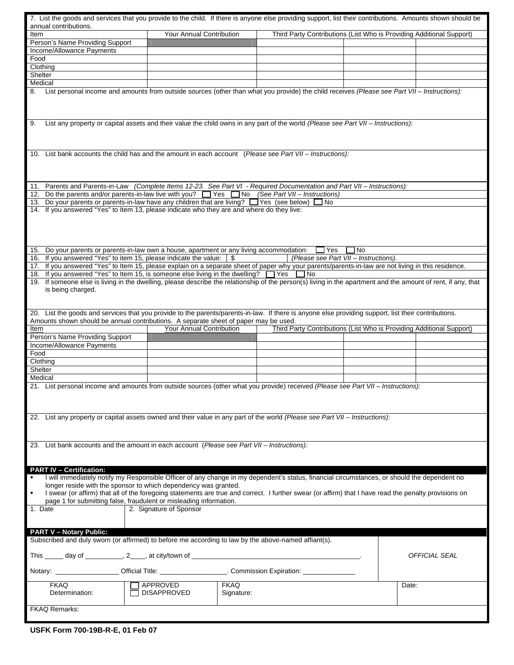| 7. List the goods and services that you provide to the child. If there is anyone else providing support, list their contributions. Amounts shown should be                                                                                   |                                                                                                                          |             |                                                                      |                                       |                      |  |  |
|----------------------------------------------------------------------------------------------------------------------------------------------------------------------------------------------------------------------------------------------|--------------------------------------------------------------------------------------------------------------------------|-------------|----------------------------------------------------------------------|---------------------------------------|----------------------|--|--|
| annual contributions.<br>Item                                                                                                                                                                                                                | Your Annual Contribution                                                                                                 |             | Third Party Contributions (List Who is Providing Additional Support) |                                       |                      |  |  |
| Person's Name Providing Support                                                                                                                                                                                                              |                                                                                                                          |             |                                                                      |                                       |                      |  |  |
| Income/Allowance Payments                                                                                                                                                                                                                    |                                                                                                                          |             |                                                                      |                                       |                      |  |  |
| Food                                                                                                                                                                                                                                         |                                                                                                                          |             |                                                                      |                                       |                      |  |  |
| Clothing<br>Shelter                                                                                                                                                                                                                          |                                                                                                                          |             |                                                                      |                                       |                      |  |  |
| Medical                                                                                                                                                                                                                                      |                                                                                                                          |             |                                                                      |                                       |                      |  |  |
| 8.                                                                                                                                                                                                                                           |                                                                                                                          |             |                                                                      |                                       |                      |  |  |
| List personal income and amounts from outside sources (other than what you provide) the child receives (Please see Part VII - Instructions):                                                                                                 |                                                                                                                          |             |                                                                      |                                       |                      |  |  |
| 9.<br>List any property or capital assets and their value the child owns in any part of the world (Please see Part VII - Instructions):                                                                                                      |                                                                                                                          |             |                                                                      |                                       |                      |  |  |
| 10. List bank accounts the child has and the amount in each account (Please see Part VII - Instructions):                                                                                                                                    |                                                                                                                          |             |                                                                      |                                       |                      |  |  |
|                                                                                                                                                                                                                                              | 11. Parents and Parents-in-Law (Complete Items 12-23. See Part VI - Required Documentation and Part VII - Instructions): |             |                                                                      |                                       |                      |  |  |
|                                                                                                                                                                                                                                              | 12. Do the parents and/or parents-in-law live with you? The State Tho (See Part VII - Instructions)                      |             |                                                                      |                                       |                      |  |  |
| 13. Do your parents or parents-in-law have any children that are living? Thes (see below) Tho                                                                                                                                                |                                                                                                                          |             |                                                                      |                                       |                      |  |  |
| 14. If you answered "Yes" to Item 13, please indicate who they are and where do they live:                                                                                                                                                   |                                                                                                                          |             |                                                                      |                                       |                      |  |  |
|                                                                                                                                                                                                                                              |                                                                                                                          |             |                                                                      |                                       |                      |  |  |
|                                                                                                                                                                                                                                              |                                                                                                                          |             |                                                                      |                                       |                      |  |  |
|                                                                                                                                                                                                                                              |                                                                                                                          |             |                                                                      |                                       |                      |  |  |
| 15. Do your parents or parents-in-law own a house, apartment or any living accommodation:                                                                                                                                                    |                                                                                                                          |             | $\Box$ Yes                                                           | l INo                                 |                      |  |  |
| 16. If you answered "Yes" to item 15, please indicate the value: \\$                                                                                                                                                                         |                                                                                                                          |             |                                                                      | (Please see Part VII - Instructions). |                      |  |  |
| 17. If you answered "Yes" to Item 15, please explain on a separate sheet of paper why your parents/parents-in-law are not living in this residence.<br>18. If you answered "Yes" to Item 15, is someone else living in the dwelling?         |                                                                                                                          |             | $\Box$ Yes<br>$\Box$ No                                              |                                       |                      |  |  |
| 19. If someone else is living in the dwelling, please describe the relationship of the person(s) living in the apartment and the amount of rent, if any, that                                                                                |                                                                                                                          |             |                                                                      |                                       |                      |  |  |
| is being charged.                                                                                                                                                                                                                            |                                                                                                                          |             |                                                                      |                                       |                      |  |  |
|                                                                                                                                                                                                                                              |                                                                                                                          |             |                                                                      |                                       |                      |  |  |
|                                                                                                                                                                                                                                              |                                                                                                                          |             |                                                                      |                                       |                      |  |  |
| 20. List the goods and services that you provide to the parents/parents-in-law. If there is anyone else providing support, list their contributions.<br>Amounts shown should be annual contributions. A separate sheet of paper may be used. |                                                                                                                          |             |                                                                      |                                       |                      |  |  |
| Item                                                                                                                                                                                                                                         | Your Annual Contribution                                                                                                 |             | Third Party Contributions (List Who is Providing Additional Support) |                                       |                      |  |  |
| Person's Name Providing Support                                                                                                                                                                                                              |                                                                                                                          |             |                                                                      |                                       |                      |  |  |
| Income/Allowance Payments                                                                                                                                                                                                                    |                                                                                                                          |             |                                                                      |                                       |                      |  |  |
| Food                                                                                                                                                                                                                                         |                                                                                                                          |             |                                                                      |                                       |                      |  |  |
| Clothing                                                                                                                                                                                                                                     |                                                                                                                          |             |                                                                      |                                       |                      |  |  |
| Shelter<br>Medical                                                                                                                                                                                                                           |                                                                                                                          |             |                                                                      |                                       |                      |  |  |
| List personal income and amounts from outside sources (other what you provide) received (Please see Part VII - Instructions):<br>21.                                                                                                         |                                                                                                                          |             |                                                                      |                                       |                      |  |  |
|                                                                                                                                                                                                                                              |                                                                                                                          |             |                                                                      |                                       |                      |  |  |
|                                                                                                                                                                                                                                              |                                                                                                                          |             |                                                                      |                                       |                      |  |  |
|                                                                                                                                                                                                                                              |                                                                                                                          |             |                                                                      |                                       |                      |  |  |
| 22. List any property or capital assets owned and their value in any part of the world (Please see Part VII - Instructions):                                                                                                                 |                                                                                                                          |             |                                                                      |                                       |                      |  |  |
|                                                                                                                                                                                                                                              |                                                                                                                          |             |                                                                      |                                       |                      |  |  |
|                                                                                                                                                                                                                                              |                                                                                                                          |             |                                                                      |                                       |                      |  |  |
| 23. List bank accounts and the amount in each account (Please see Part VII - Instructions):                                                                                                                                                  |                                                                                                                          |             |                                                                      |                                       |                      |  |  |
|                                                                                                                                                                                                                                              |                                                                                                                          |             |                                                                      |                                       |                      |  |  |
| <b>PART IV - Certification:</b>                                                                                                                                                                                                              |                                                                                                                          |             |                                                                      |                                       |                      |  |  |
| I will immediately notify my Responsible Officer of any change in my dependent's status, financial circumstances, or should the dependent no                                                                                                 |                                                                                                                          |             |                                                                      |                                       |                      |  |  |
| longer reside with the sponsor to which dependency was granted.                                                                                                                                                                              |                                                                                                                          |             |                                                                      |                                       |                      |  |  |
| I swear (or affirm) that all of the foregoing statements are true and correct. I further swear (or affirm) that I have read the penalty provisions on<br>page 1 for submitting false, fraudulent or misleading information.                  |                                                                                                                          |             |                                                                      |                                       |                      |  |  |
| 1. Date                                                                                                                                                                                                                                      | 2. Signature of Sponsor                                                                                                  |             |                                                                      |                                       |                      |  |  |
|                                                                                                                                                                                                                                              |                                                                                                                          |             |                                                                      |                                       |                      |  |  |
|                                                                                                                                                                                                                                              |                                                                                                                          |             |                                                                      |                                       |                      |  |  |
| <b>PART V - Notary Public:</b><br>Subscribed and duly sworn (or affirmed) to before me according to law by the above-named affiant(s).                                                                                                       |                                                                                                                          |             |                                                                      |                                       |                      |  |  |
|                                                                                                                                                                                                                                              |                                                                                                                          |             |                                                                      |                                       |                      |  |  |
|                                                                                                                                                                                                                                              |                                                                                                                          |             |                                                                      |                                       | <i>OFFICIAL SEAL</i> |  |  |
| Notary: _____________________Official Title: ______________________. Commission Expiration: ______________                                                                                                                                   |                                                                                                                          |             |                                                                      |                                       |                      |  |  |
| <b>FKAQ</b>                                                                                                                                                                                                                                  | APPROVED                                                                                                                 | <b>FKAQ</b> |                                                                      | Date:                                 |                      |  |  |
| Determination:                                                                                                                                                                                                                               | <b>DISAPPROVED</b>                                                                                                       | Signature:  |                                                                      |                                       |                      |  |  |
|                                                                                                                                                                                                                                              |                                                                                                                          |             |                                                                      |                                       |                      |  |  |
| <b>FKAQ Remarks:</b>                                                                                                                                                                                                                         |                                                                                                                          |             |                                                                      |                                       |                      |  |  |

**USFK Form 700-19B-R-E, 01 Feb 07**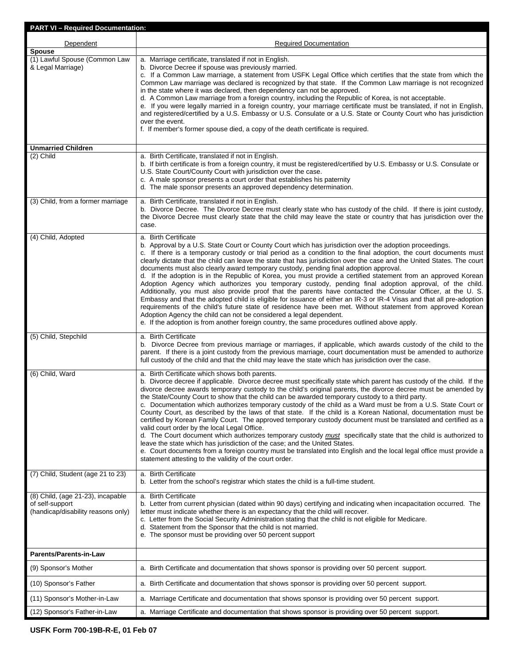| <b>PART VI-Required Documentation:</b>                                                     |                                                                                                                                                                                                                                                                                                                                                                                                                                                                                                                                                                                                                                                                                                                                                                                                                                                                                                                                                                                                                                                                                                                                                                                                                                     |
|--------------------------------------------------------------------------------------------|-------------------------------------------------------------------------------------------------------------------------------------------------------------------------------------------------------------------------------------------------------------------------------------------------------------------------------------------------------------------------------------------------------------------------------------------------------------------------------------------------------------------------------------------------------------------------------------------------------------------------------------------------------------------------------------------------------------------------------------------------------------------------------------------------------------------------------------------------------------------------------------------------------------------------------------------------------------------------------------------------------------------------------------------------------------------------------------------------------------------------------------------------------------------------------------------------------------------------------------|
| Dependent                                                                                  | <b>Required Documentation</b>                                                                                                                                                                                                                                                                                                                                                                                                                                                                                                                                                                                                                                                                                                                                                                                                                                                                                                                                                                                                                                                                                                                                                                                                       |
| <b>Spouse</b><br>(1) Lawful Spouse (Common Law<br>& Legal Marriage)                        | a. Marriage certificate, translated if not in English.<br>b. Divorce Decree if spouse was previously married.<br>c. If a Common Law marriage, a statement from USFK Legal Office which certifies that the state from which the<br>Common Law marriage was declared is recognized by that state. If the Common Law marriage is not recognized<br>in the state where it was declared, then dependency can not be approved.<br>d. A Common Law marriage from a foreign country, including the Republic of Korea, is not acceptable.<br>e. If you were legally married in a foreign country, your marriage certificate must be translated, if not in English,<br>and registered/certified by a U.S. Embassy or U.S. Consulate or a U.S. State or County Court who has jurisdiction<br>over the event.<br>f. If member's former spouse died, a copy of the death certificate is required.                                                                                                                                                                                                                                                                                                                                                |
| <b>Unmarried Children</b>                                                                  |                                                                                                                                                                                                                                                                                                                                                                                                                                                                                                                                                                                                                                                                                                                                                                                                                                                                                                                                                                                                                                                                                                                                                                                                                                     |
| (2) Child                                                                                  | a. Birth Certificate, translated if not in English.<br>b. If birth certificate is from a foreign country, it must be registered/certified by U.S. Embassy or U.S. Consulate or<br>U.S. State Court/County Court with jurisdiction over the case.<br>c. A male sponsor presents a court order that establishes his paternity<br>d. The male sponsor presents an approved dependency determination.                                                                                                                                                                                                                                                                                                                                                                                                                                                                                                                                                                                                                                                                                                                                                                                                                                   |
| (3) Child, from a former marriage                                                          | a. Birth Certificate, translated if not in English.<br>b. Divorce Decree. The Divorce Decree must clearly state who has custody of the child. If there is joint custody,<br>the Divorce Decree must clearly state that the child may leave the state or country that has jurisdiction over the<br>case.                                                                                                                                                                                                                                                                                                                                                                                                                                                                                                                                                                                                                                                                                                                                                                                                                                                                                                                             |
| (4) Child, Adopted                                                                         | a. Birth Certificate<br>b. Approval by a U.S. State Court or County Court which has jurisdiction over the adoption proceedings.<br>c. If there is a temporary custody or trial period as a condition to the final adoption, the court documents must<br>clearly dictate that the child can leave the state that has jurisdiction over the case and the United States. The court<br>documents must also clearly award temporary custody, pending final adoption approval.<br>d. If the adoption is in the Republic of Korea, you must provide a certified statement from an approved Korean<br>Adoption Agency which authorizes you temporary custody, pending final adoption approval, of the child.<br>Additionally, you must also provide proof that the parents have contacted the Consular Officer, at the U. S.<br>Embassy and that the adopted child is eligible for issuance of either an IR-3 or IR-4 Visas and that all pre-adoption<br>requirements of the child's future state of residence have been met. Without statement from approved Korean<br>Adoption Agency the child can not be considered a legal dependent.<br>e. If the adoption is from another foreign country, the same procedures outlined above apply. |
| (5) Child, Stepchild                                                                       | a. Birth Certificate<br>b. Divorce Decree from previous marriage or marriages, if applicable, which awards custody of the child to the<br>parent. If there is a joint custody from the previous marriage, court documentation must be amended to authorize<br>full custody of the child and that the child may leave the state which has jurisdiction over the case.                                                                                                                                                                                                                                                                                                                                                                                                                                                                                                                                                                                                                                                                                                                                                                                                                                                                |
| (6) Child, Ward                                                                            | a. Birth Certificate which shows both parents.<br>b. Divorce decree if applicable. Divorce decree must specifically state which parent has custody of the child. If the<br>divorce decree awards temporary custody to the child's original parents, the divorce decree must be amended by<br>the State/County Court to show that the child can be awarded temporary custody to a third party.<br>c. Documentation which authorizes temporary custody of the child as a Ward must be from a U.S. State Court or<br>County Court, as described by the laws of that state. If the child is a Korean National, documentation must be<br>certified by Korean Family Court. The approved temporary custody document must be translated and certified as a<br>valid court order by the local Legal Office.<br>d. The Court document which authorizes temporary custody must specifically state that the child is authorized to<br>leave the state which has jurisdiction of the case; and the United States.<br>e. Court documents from a foreign country must be translated into English and the local legal office must provide a<br>statement attesting to the validity of the court order.                                             |
| (7) Child, Student (age 21 to 23)                                                          | a. Birth Certificate<br>b. Letter from the school's registrar which states the child is a full-time student.                                                                                                                                                                                                                                                                                                                                                                                                                                                                                                                                                                                                                                                                                                                                                                                                                                                                                                                                                                                                                                                                                                                        |
| (8) Child, (age 21-23), incapable<br>of self-support<br>(handicap/disability reasons only) | a. Birth Certificate<br>b. Letter from current physician (dated within 90 days) certifying and indicating when incapacitation occurred. The<br>letter must indicate whether there is an expectancy that the child will recover.<br>c. Letter from the Social Security Administration stating that the child is not eligible for Medicare.<br>d. Statement from the Sponsor that the child is not married.<br>e. The sponsor must be providing over 50 percent support                                                                                                                                                                                                                                                                                                                                                                                                                                                                                                                                                                                                                                                                                                                                                               |
| <b>Parents/Parents-in-Law</b>                                                              |                                                                                                                                                                                                                                                                                                                                                                                                                                                                                                                                                                                                                                                                                                                                                                                                                                                                                                                                                                                                                                                                                                                                                                                                                                     |
| (9) Sponsor's Mother                                                                       | a. Birth Certificate and documentation that shows sponsor is providing over 50 percent support.                                                                                                                                                                                                                                                                                                                                                                                                                                                                                                                                                                                                                                                                                                                                                                                                                                                                                                                                                                                                                                                                                                                                     |
| (10) Sponsor's Father                                                                      | a. Birth Certificate and documentation that shows sponsor is providing over 50 percent support.                                                                                                                                                                                                                                                                                                                                                                                                                                                                                                                                                                                                                                                                                                                                                                                                                                                                                                                                                                                                                                                                                                                                     |
| (11) Sponsor's Mother-in-Law                                                               | a. Marriage Certificate and documentation that shows sponsor is providing over 50 percent support.                                                                                                                                                                                                                                                                                                                                                                                                                                                                                                                                                                                                                                                                                                                                                                                                                                                                                                                                                                                                                                                                                                                                  |
| (12) Sponsor's Father-in-Law                                                               | a. Marriage Certificate and documentation that shows sponsor is providing over 50 percent support.                                                                                                                                                                                                                                                                                                                                                                                                                                                                                                                                                                                                                                                                                                                                                                                                                                                                                                                                                                                                                                                                                                                                  |